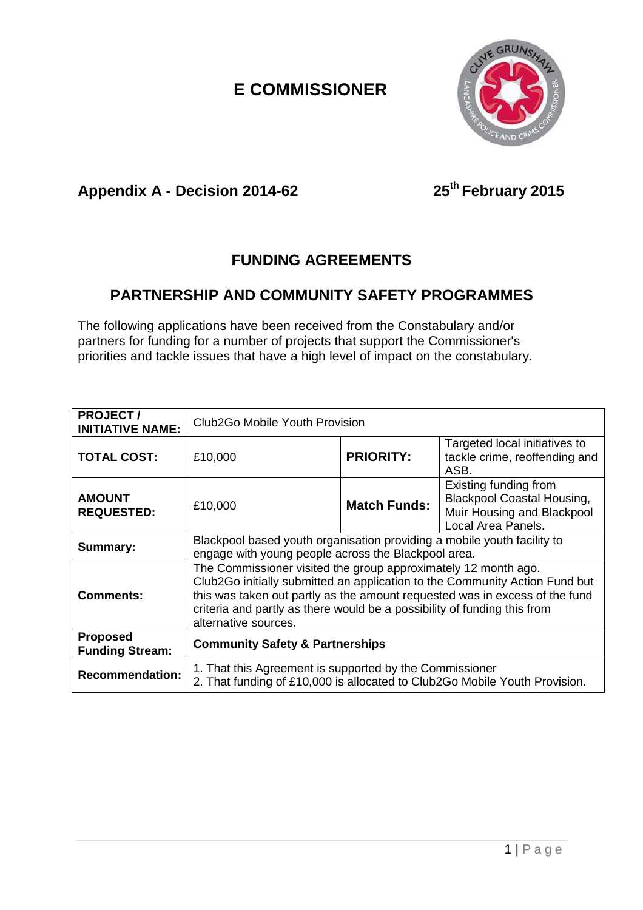### *E* COMMISSIONER



#### **Appendix A - Decision 2014**

**2014-62 25th February 2015**

### **FUNDING AGREEMENTS**

#### **PARTNERSHIP AND COMMUNITY SAFETY PROGRAMMES**

The following applications have been received from the Constabulary and/or partners for funding for a number of projects that support the Commissioner's priorities and tackle issues that have a high level of impact on the constabulary.

| <b>PROJECT/</b><br><b>INITIATIVE NAME:</b> | Club2Go Mobile Youth Provision                                                                                                                                                                                                                                                                                                   |                     |                                                                                                                |
|--------------------------------------------|----------------------------------------------------------------------------------------------------------------------------------------------------------------------------------------------------------------------------------------------------------------------------------------------------------------------------------|---------------------|----------------------------------------------------------------------------------------------------------------|
| <b>TOTAL COST:</b>                         | £10,000                                                                                                                                                                                                                                                                                                                          | <b>PRIORITY:</b>    | Targeted local initiatives to<br>tackle crime, reoffending and<br>ASB.                                         |
| <b>AMOUNT</b><br><b>REQUESTED:</b>         | £10,000                                                                                                                                                                                                                                                                                                                          | <b>Match Funds:</b> | Existing funding from<br><b>Blackpool Coastal Housing,</b><br>Muir Housing and Blackpool<br>Local Area Panels. |
| Summary:                                   | Blackpool based youth organisation providing a mobile youth facility to<br>engage with young people across the Blackpool area.                                                                                                                                                                                                   |                     |                                                                                                                |
| <b>Comments:</b>                           | The Commissioner visited the group approximately 12 month ago.<br>Club2Go initially submitted an application to the Community Action Fund but<br>this was taken out partly as the amount requested was in excess of the fund<br>criteria and partly as there would be a possibility of funding this from<br>alternative sources. |                     |                                                                                                                |
| <b>Proposed</b><br><b>Funding Stream:</b>  | <b>Community Safety &amp; Partnerships</b>                                                                                                                                                                                                                                                                                       |                     |                                                                                                                |
| <b>Recommendation:</b>                     | 1. That this Agreement is supported by the Commissioner<br>2. That funding of £10,000 is allocated to Club2Go Mobile Youth Provision.                                                                                                                                                                                            |                     |                                                                                                                |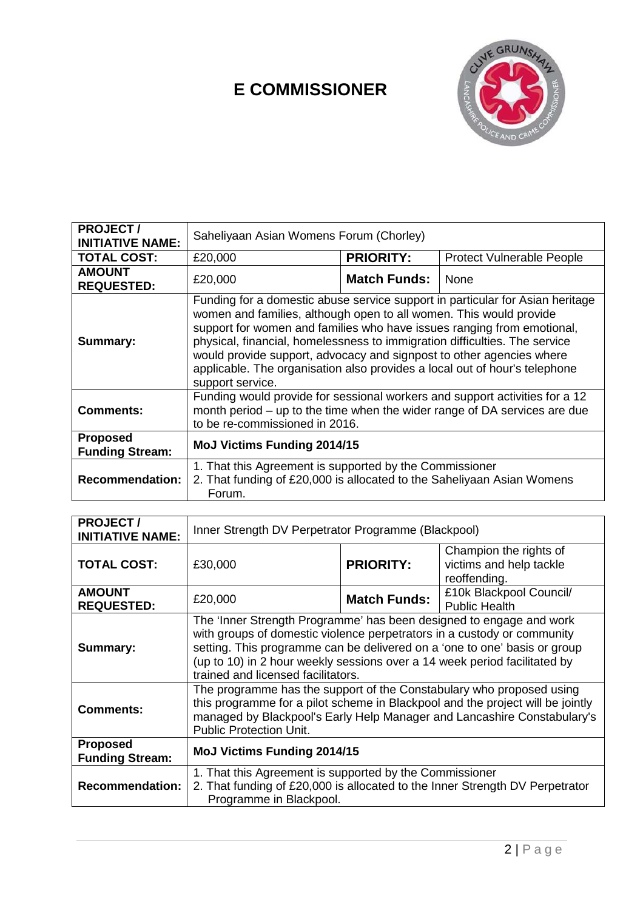# **E COMMISSIONER**



| <b>PROJECT/</b><br><b>INITIATIVE NAME:</b> | Saheliyaan Asian Womens Forum (Chorley)                                                                                                                                                                                                                                                                                                                                                                                                                                               |                     |                                                                   |
|--------------------------------------------|---------------------------------------------------------------------------------------------------------------------------------------------------------------------------------------------------------------------------------------------------------------------------------------------------------------------------------------------------------------------------------------------------------------------------------------------------------------------------------------|---------------------|-------------------------------------------------------------------|
| <b>TOTAL COST:</b>                         | £20,000                                                                                                                                                                                                                                                                                                                                                                                                                                                                               | <b>PRIORITY:</b>    | <b>Protect Vulnerable People</b>                                  |
| <b>AMOUNT</b><br><b>REQUESTED:</b>         | £20,000                                                                                                                                                                                                                                                                                                                                                                                                                                                                               | <b>Match Funds:</b> | None                                                              |
| Summary:                                   | Funding for a domestic abuse service support in particular for Asian heritage<br>women and families, although open to all women. This would provide<br>support for women and families who have issues ranging from emotional,<br>physical, financial, homelessness to immigration difficulties. The service<br>would provide support, advocacy and signpost to other agencies where<br>applicable. The organisation also provides a local out of hour's telephone<br>support service. |                     |                                                                   |
| <b>Comments:</b>                           | Funding would provide for sessional workers and support activities for a 12<br>month period – up to the time when the wider range of DA services are due<br>to be re-commissioned in 2016.                                                                                                                                                                                                                                                                                            |                     |                                                                   |
| <b>Proposed</b><br><b>Funding Stream:</b>  | <b>MoJ Victims Funding 2014/15</b>                                                                                                                                                                                                                                                                                                                                                                                                                                                    |                     |                                                                   |
| <b>Recommendation:</b>                     | 1. That this Agreement is supported by the Commissioner<br>2. That funding of £20,000 is allocated to the Saheliyaan Asian Womens<br>Forum.                                                                                                                                                                                                                                                                                                                                           |                     |                                                                   |
|                                            |                                                                                                                                                                                                                                                                                                                                                                                                                                                                                       |                     |                                                                   |
| <b>PROJECT/</b><br><b>INITIATIVE NAME:</b> | Inner Strength DV Perpetrator Programme (Blackpool)                                                                                                                                                                                                                                                                                                                                                                                                                                   |                     |                                                                   |
| <b>TOTAL COST:</b>                         | £30,000                                                                                                                                                                                                                                                                                                                                                                                                                                                                               | <b>PRIORITY:</b>    | Champion the rights of<br>victims and help tackle<br>reoffending. |
| <b>AMOUNT</b><br><b>REQUESTED:</b>         | £20,000                                                                                                                                                                                                                                                                                                                                                                                                                                                                               | <b>Match Funds:</b> | £10k Blackpool Council/<br><b>Public Health</b>                   |
| Summary:                                   | The 'Inner Strength Programme' has been designed to engage and work<br>with groups of domestic violence perpetrators in a custody or community<br>setting. This programme can be delivered on a 'one to one' basis or group<br>(up to 10) in 2 hour weekly sessions over a 14 week period facilitated by<br>trained and licensed facilitators.<br>The programme has the support of the Constabulary who proposed using                                                                |                     |                                                                   |

| <b>PROJECT/</b><br><b>INITIATIVE NAME:</b> | Inner Strength DV Perpetrator Programme (Blackpool)                                                                                                                                                                                                                                                                                            |                     |                                                                   |
|--------------------------------------------|------------------------------------------------------------------------------------------------------------------------------------------------------------------------------------------------------------------------------------------------------------------------------------------------------------------------------------------------|---------------------|-------------------------------------------------------------------|
| <b>TOTAL COST:</b>                         | £30,000                                                                                                                                                                                                                                                                                                                                        | <b>PRIORITY:</b>    | Champion the rights of<br>victims and help tackle<br>reoffending. |
| <b>AMOUNT</b><br><b>REQUESTED:</b>         | £20,000                                                                                                                                                                                                                                                                                                                                        | <b>Match Funds:</b> | £10k Blackpool Council/<br><b>Public Health</b>                   |
| Summary:                                   | The 'Inner Strength Programme' has been designed to engage and work<br>with groups of domestic violence perpetrators in a custody or community<br>setting. This programme can be delivered on a 'one to one' basis or group<br>(up to 10) in 2 hour weekly sessions over a 14 week period facilitated by<br>trained and licensed facilitators. |                     |                                                                   |
| <b>Comments:</b>                           | The programme has the support of the Constabulary who proposed using<br>this programme for a pilot scheme in Blackpool and the project will be jointly<br>managed by Blackpool's Early Help Manager and Lancashire Constabulary's<br><b>Public Protection Unit.</b>                                                                            |                     |                                                                   |
| <b>Proposed</b><br><b>Funding Stream:</b>  | <b>MoJ Victims Funding 2014/15</b>                                                                                                                                                                                                                                                                                                             |                     |                                                                   |
| <b>Recommendation:</b>                     | 1. That this Agreement is supported by the Commissioner<br>2. That funding of £20,000 is allocated to the Inner Strength DV Perpetrator<br>Programme in Blackpool.                                                                                                                                                                             |                     |                                                                   |